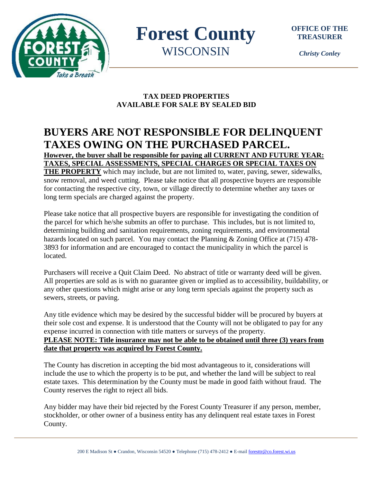

**Forest County WISCONSIN** 

*Christy Conley*

# **TAX DEED PROPERTIES AVAILABLE FOR SALE BY SEALED BID**

# **BUYERS ARE NOT RESPONSIBLE FOR DELINQUENT TAXES OWING ON THE PURCHASED PARCEL. However, the buyer shall be responsible for paying all CURRENT AND FUTURE YEAR:**

**TAXES, SPECIAL ASSESSMENTS, SPECIAL CHARGES OR SPECIAL TAXES ON** 

**THE PROPERTY** which may include, but are not limited to, water, paving, sewer, sidewalks, snow removal, and weed cutting. Please take notice that all prospective buyers are responsible for contacting the respective city, town, or village directly to determine whether any taxes or long term specials are charged against the property.

Please take notice that all prospective buyers are responsible for investigating the condition of the parcel for which he/she submits an offer to purchase. This includes, but is not limited to, determining building and sanitation requirements, zoning requirements, and environmental hazards located on such parcel. You may contact the Planning & Zoning Office at (715) 478- 3893 for information and are encouraged to contact the municipality in which the parcel is located.

Purchasers will receive a Quit Claim Deed. No abstract of title or warranty deed will be given. All properties are sold as is with no guarantee given or implied as to accessibility, buildability, or any other questions which might arise or any long term specials against the property such as sewers, streets, or paving.

Any title evidence which may be desired by the successful bidder will be procured by buyers at their sole cost and expense. It is understood that the County will not be obligated to pay for any expense incurred in connection with title matters or surveys of the property. **PLEASE NOTE: Title insurance may not be able to be obtained until three (3) years from date that property was acquired by Forest County.**

The County has discretion in accepting the bid most advantageous to it, considerations will include the use to which the property is to be put, and whether the land will be subject to real estate taxes. This determination by the County must be made in good faith without fraud. The County reserves the right to reject all bids.

Any bidder may have their bid rejected by the Forest County Treasurer if any person, member, stockholder, or other owner of a business entity has any delinquent real estate taxes in Forest County.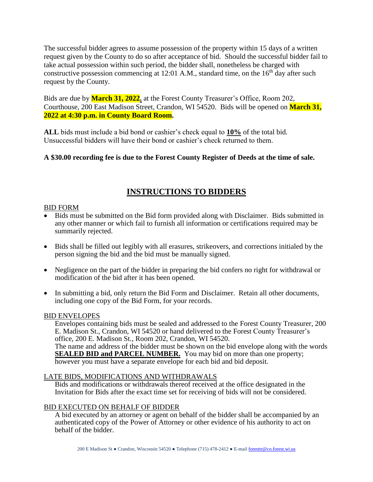The successful bidder agrees to assume possession of the property within 15 days of a written request given by the County to do so after acceptance of bid. Should the successful bidder fail to take actual possession within such period, the bidder shall, nonetheless be charged with constructive possession commencing at 12:01 A.M., standard time, on the  $16<sup>th</sup>$  day after such request by the County.

Bids are due by **March 31, 2022.** at the Forest County Treasurer's Office, Room 202, Courthouse, 200 East Madison Street, Crandon, WI 54520. Bids will be opened on **March 31, 2022 at 4:30 p.m. in County Board Room.**

**ALL** bids must include a bid bond or cashier's check equal to **10%** of the total bid. Unsuccessful bidders will have their bond or cashier's check returned to them.

## **A \$30.00 recording fee is due to the Forest County Register of Deeds at the time of sale.**

# **INSTRUCTIONS TO BIDDERS**

## BID FORM

- Bids must be submitted on the Bid form provided along with Disclaimer. Bids submitted in any other manner or which fail to furnish all information or certifications required may be summarily rejected.
- Bids shall be filled out legibly with all erasures, strikeovers, and corrections initialed by the person signing the bid and the bid must be manually signed.
- Negligence on the part of the bidder in preparing the bid confers no right for withdrawal or modification of the bid after it has been opened.
- In submitting a bid, only return the Bid Form and Disclaimer. Retain all other documents, including one copy of the Bid Form, for your records.

## BID ENVELOPES

Envelopes containing bids must be sealed and addressed to the Forest County Treasurer, 200 E. Madison St., Crandon, WI 54520 or hand delivered to the Forest County Treasurer's office, 200 E. Madison St., Room 202, Crandon, WI 54520. The name and address of the bidder must be shown on the bid envelope along with the words **SEALED BID and PARCEL NUMBER.** You may bid on more than one property; however you must have a separate envelope for each bid and bid deposit.

## LATE BIDS, MODIFICATIONS AND WITHDRAWALS

Bids and modifications or withdrawals thereof received at the office designated in the Invitation for Bids after the exact time set for receiving of bids will not be considered.

## BID EXECUTED ON BEHALF OF BIDDER

A bid executed by an attorney or agent on behalf of the bidder shall be accompanied by an authenticated copy of the Power of Attorney or other evidence of his authority to act on behalf of the bidder.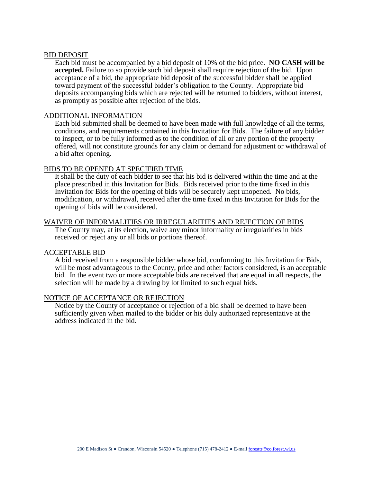#### BID DEPOSIT

Each bid must be accompanied by a bid deposit of 10% of the bid price. **NO CASH will be accepted.** Failure to so provide such bid deposit shall require rejection of the bid. Upon acceptance of a bid, the appropriate bid deposit of the successful bidder shall be applied toward payment of the successful bidder's obligation to the County. Appropriate bid deposits accompanying bids which are rejected will be returned to bidders, without interest, as promptly as possible after rejection of the bids.

#### ADDITIONAL INFORMATION

Each bid submitted shall be deemed to have been made with full knowledge of all the terms, conditions, and requirements contained in this Invitation for Bids. The failure of any bidder to inspect, or to be fully informed as to the condition of all or any portion of the property offered, will not constitute grounds for any claim or demand for adjustment or withdrawal of a bid after opening.

#### BIDS TO BE OPENED AT SPECIFIED TIME

It shall be the duty of each bidder to see that his bid is delivered within the time and at the place prescribed in this Invitation for Bids. Bids received prior to the time fixed in this Invitation for Bids for the opening of bids will be securely kept unopened. No bids, modification, or withdrawal, received after the time fixed in this Invitation for Bids for the opening of bids will be considered.

#### WAIVER OF INFORMALITIES OR IRREGULARITIES AND REJECTION OF BIDS

The County may, at its election, waive any minor informality or irregularities in bids received or reject any or all bids or portions thereof.

### ACCEPTABLE BID

A bid received from a responsible bidder whose bid, conforming to this Invitation for Bids, will be most advantageous to the County, price and other factors considered, is an acceptable bid. In the event two or more acceptable bids are received that are equal in all respects, the selection will be made by a drawing by lot limited to such equal bids.

### NOTICE OF ACCEPTANCE OR REJECTION

Notice by the County of acceptance or rejection of a bid shall be deemed to have been sufficiently given when mailed to the bidder or his duly authorized representative at the address indicated in the bid.